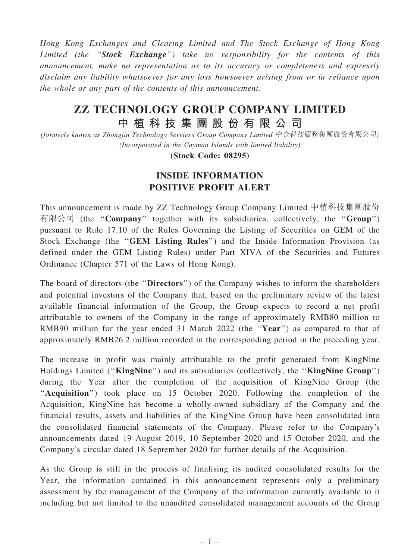Hong Kong Exchanges and Clearing Limited and The Stock Exchange of Hong Kong Limited (the "Stock Exchange") take no responsibility for the contents of this announcement, make no representation as to its accuracy or completeness and expressly disclaim any liability whatsoever for any loss howsoever arising from or in reliance upon the whole or any part of the contents of this announcement.

## ZZ TECHNOLOGY GROUP COMPANY LIMITED 中 植 科 技 集 團 股 份 有 限 公 司

(formerly known as Zhongjin Technology Services Group Company Limited 中金科技服務集團股份有限公司) (Incorporated in the Cayman Islands with limited liability)

(Stock Code: 08295)

## INSIDE INFORMATION POSITIVE PROFIT ALERT

This announcement is made by ZZ Technology Group Company Limited 中植科技集團股份 有限公司 (the ''Company'' together with its subsidiaries, collectively, the ''Group'') pursuant to Rule 17.10 of the Rules Governing the Listing of Securities on GEM of the Stock Exchange (the "GEM Listing Rules") and the Inside Information Provision (as defined under the GEM Listing Rules) under Part XIVA of the Securities and Futures Ordinance (Chapter 571 of the Laws of Hong Kong).

The board of directors (the ''Directors'') of the Company wishes to inform the shareholders and potential investors of the Company that, based on the preliminary review of the latest available financial information of the Group, the Group expects to record a net profit attributable to owners of the Company in the range of approximately RMB80 million to RMB90 million for the year ended 31 March 2022 (the "Year") as compared to that of approximately RMB26.2 million recorded in the corresponding period in the preceding year.

The increase in profit was mainly attributable to the profit generated from KingNine Holdings Limited ("KingNine") and its subsidiaries (collectively, the "KingNine Group") during the Year after the completion of the acquisition of KingNine Group (the "Acquisition") took place on 15 October 2020. Following the completion of the Acquisition, KingNine has become a wholly-owned subsidiary of the Company and the financial results, assets and liabilities of the KingNine Group have been consolidated into the consolidated financial statements of the Company. Please refer to the Company's announcements dated 19 August 2019, 10 September 2020 and 15 October 2020, and the Company's circular dated 18 September 2020 for further details of the Acquisition.

As the Group is still in the process of finalising its audited consolidated results for the Year, the information contained in this announcement represents only a preliminary assessment by the management of the Company of the information currently available to it including but not limited to the unaudited consolidated management accounts of the Group